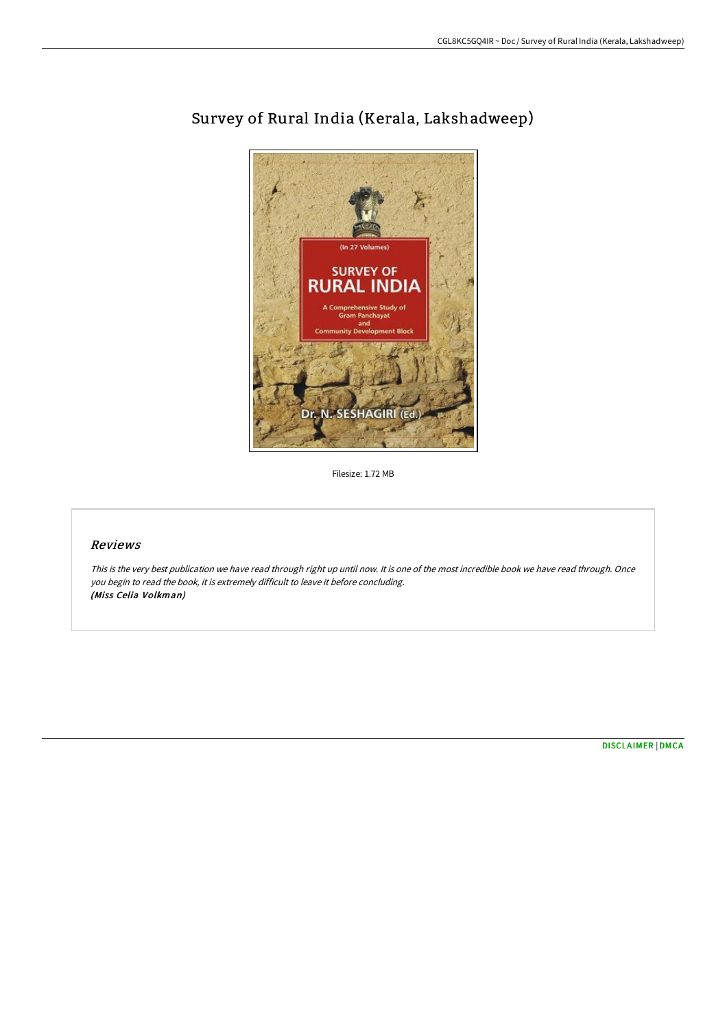

## Survey of Rural India (Kerala, Lakshadweep)

Filesize: 1.72 MB

## Reviews

This is the very best publication we have read through right up until now. It is one of the most incredible book we have read through. Once you begin to read the book, it is extremely difficult to leave it before concluding. (Miss Celia Volkman)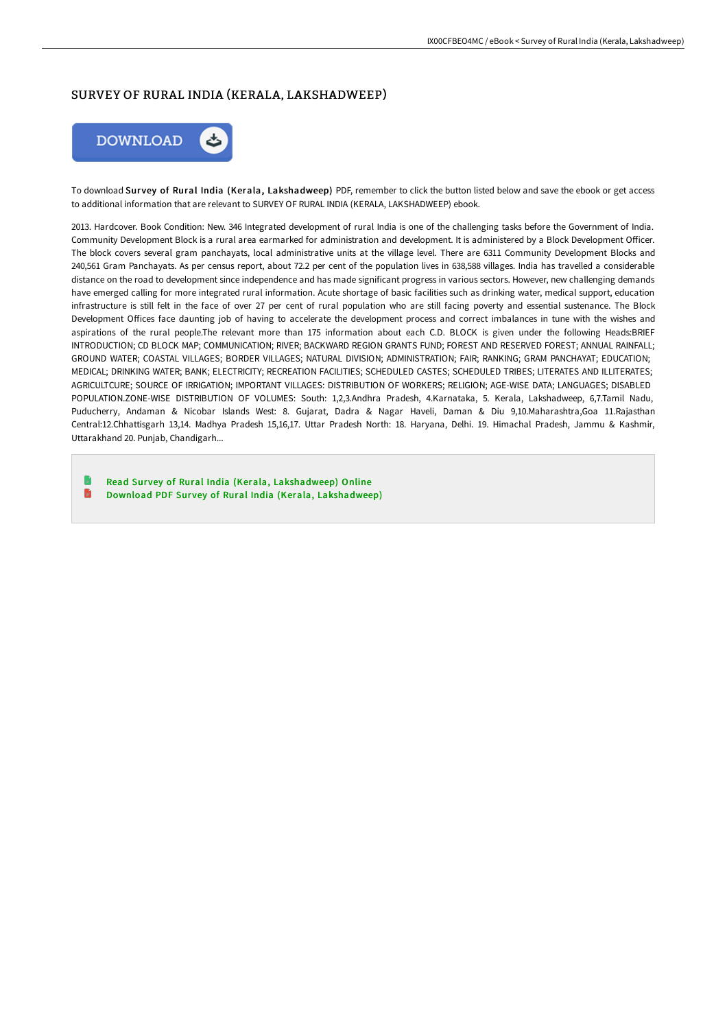## SURVEY OF RURAL INDIA (KERALA, LAKSHADWEEP)



To download Survey of Rural India (Kerala, Lakshadweep) PDF, remember to click the button listed below and save the ebook or get access to additional information that are relevant to SURVEY OF RURAL INDIA (KERALA, LAKSHADWEEP) ebook.

2013. Hardcover. Book Condition: New. 346 Integrated development of rural India is one of the challenging tasks before the Government of India. Community Development Block is a rural area earmarked for administration and development. It is administered by a Block Development Officer. The block covers several gram panchayats, local administrative units at the village level. There are 6311 Community Development Blocks and 240,561 Gram Panchayats. As per census report, about 72.2 per cent of the population lives in 638,588 villages. India has travelled a considerable distance on the road to development since independence and has made significant progress in various sectors. However, new challenging demands have emerged calling for more integrated rural information. Acute shortage of basic facilities such as drinking water, medical support, education infrastructure is still felt in the face of over 27 per cent of rural population who are still facing poverty and essential sustenance. The Block Development Offices face daunting job of having to accelerate the development process and correct imbalances in tune with the wishes and aspirations of the rural people.The relevant more than 175 information about each C.D. BLOCK is given under the following Heads:BRIEF INTRODUCTION; CD BLOCK MAP; COMMUNICATION; RIVER; BACKWARD REGION GRANTS FUND; FOREST AND RESERVED FOREST; ANNUAL RAINFALL; GROUND WATER; COASTAL VILLAGES; BORDER VILLAGES; NATURAL DIVISION; ADMINISTRATION; FAIR; RANKING; GRAM PANCHAYAT; EDUCATION; MEDICAL; DRINKING WATER; BANK; ELECTRICITY; RECREATION FACILITIES; SCHEDULED CASTES; SCHEDULED TRIBES; LITERATES AND ILLITERATES; AGRICULTCURE; SOURCE OF IRRIGATION; IMPORTANT VILLAGES: DISTRIBUTION OF WORKERS; RELIGION; AGE-WISE DATA; LANGUAGES; DISABLED POPULATION.ZONE-WISE DISTRIBUTION OF VOLUMES: South: 1,2,3.Andhra Pradesh, 4.Karnataka, 5. Kerala, Lakshadweep, 6,7.Tamil Nadu, Puducherry, Andaman & Nicobar Islands West: 8. Gujarat, Dadra & Nagar Haveli, Daman & Diu 9,10.Maharashtra,Goa 11.Rajasthan Central:12.Chhattisgarh 13,14. Madhya Pradesh 15,16,17. Uttar Pradesh North: 18. Haryana, Delhi. 19. Himachal Pradesh, Jammu & Kashmir, Uttarakhand 20. Punjab, Chandigarh...

Read Survey of Rural India (Kerala, [Lakshadweep\)](http://www.bookdirs.com/survey-of-rural-india-kerala-lakshadweep.html) Online h Download PDF Survey of Rural India (Kerala, [Lakshadweep\)](http://www.bookdirs.com/survey-of-rural-india-kerala-lakshadweep.html)